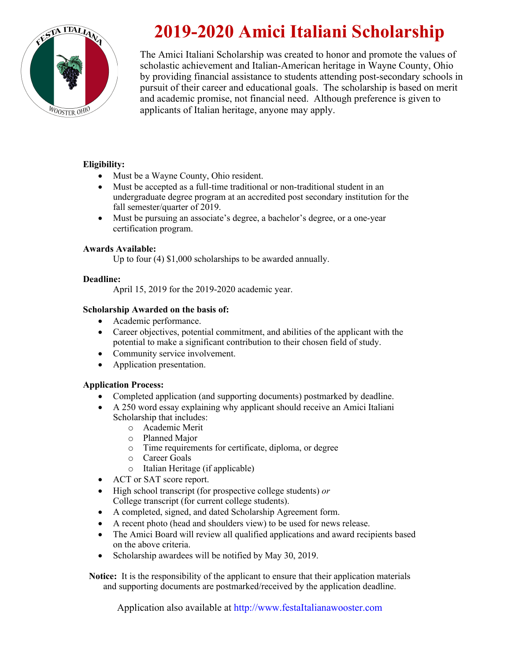

# **2019-2020 Amici Italiani Scholarship**

The Amici Italiani Scholarship was created to honor and promote the values of scholastic achievement and Italian-American heritage in Wayne County, Ohio by providing financial assistance to students attending post-secondary schools in pursuit of their career and educational goals. The scholarship is based on merit and academic promise, not financial need. Although preference is given to applicants of Italian heritage, anyone may apply.

### **Eligibility:**

- Must be a Wayne County, Ohio resident.
- Must be accepted as a full-time traditional or non-traditional student in an undergraduate degree program at an accredited post secondary institution for the fall semester/quarter of 2019.
- Must be pursuing an associate's degree, a bachelor's degree, or a one-year certification program.

#### **Awards Available:**

Up to four (4) \$1,000 scholarships to be awarded annually.

#### **Deadline:**

April 15, 2019 for the 2019-2020 academic year.

#### **Scholarship Awarded on the basis of:**

- Academic performance.
- Career objectives, potential commitment, and abilities of the applicant with the potential to make a significant contribution to their chosen field of study.
- Community service involvement.
- Application presentation.

### **Application Process:**

- Completed application (and supporting documents) postmarked by deadline.
- A 250 word essay explaining why applicant should receive an Amici Italiani Scholarship that includes:
	- o Academic Merit
	- o Planned Major
	- o Time requirements for certificate, diploma, or degree
	- o Career Goals
	- o Italian Heritage (if applicable)
- ACT or SAT score report.
- High school transcript (for prospective college students) *or* College transcript (for current college students).
- A completed, signed, and dated Scholarship Agreement form.
- A recent photo (head and shoulders view) to be used for news release.
- The Amici Board will review all qualified applications and award recipients based on the above criteria.
- Scholarship awardees will be notified by May 30, 2019.

**Notice:** It is the responsibility of the applicant to ensure that their application materials and supporting documents are postmarked/received by the application deadline.

Application also available at http://www.festaItalianawooster.com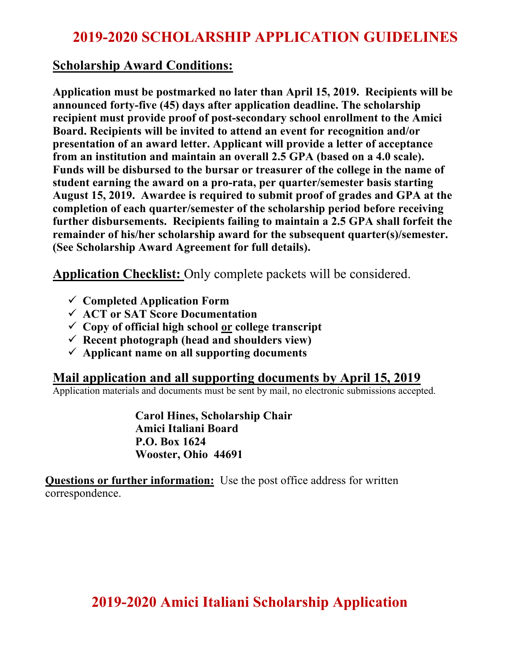# **2019-2020 SCHOLARSHIP APPLICATION GUIDELINES**

### **Scholarship Award Conditions:**

**Application must be postmarked no later than April 15, 2019. Recipients will be announced forty-five (45) days after application deadline. The scholarship recipient must provide proof of post-secondary school enrollment to the Amici Board. Recipients will be invited to attend an event for recognition and/or presentation of an award letter. Applicant will provide a letter of acceptance from an institution and maintain an overall 2.5 GPA (based on a 4.0 scale). Funds will be disbursed to the bursar or treasurer of the college in the name of student earning the award on a pro-rata, per quarter/semester basis starting August 15, 2019. Awardee is required to submit proof of grades and GPA at the completion of each quarter/semester of the scholarship period before receiving further disbursements. Recipients failing to maintain a 2.5 GPA shall forfeit the remainder of his/her scholarship award for the subsequent quarter(s)/semester. (See Scholarship Award Agreement for full details).**

**Application Checklist:** Only complete packets will be considered.

- ü **Completed Application Form**
- ü **ACT or SAT Score Documentation**
- ü **Copy of official high school or college transcript**
- ü **Recent photograph (head and shoulders view)**
- $\checkmark$  Applicant name on all supporting documents

### **Mail application and all supporting documents by April 15, 2019**

Application materials and documents must be sent by mail, no electronic submissions accepted.

**Carol Hines, Scholarship Chair Amici Italiani Board P.O. Box 1624 Wooster, Ohio 44691**

**Questions or further information:** Use the post office address for written correspondence.

# **2019-2020 Amici Italiani Scholarship Application**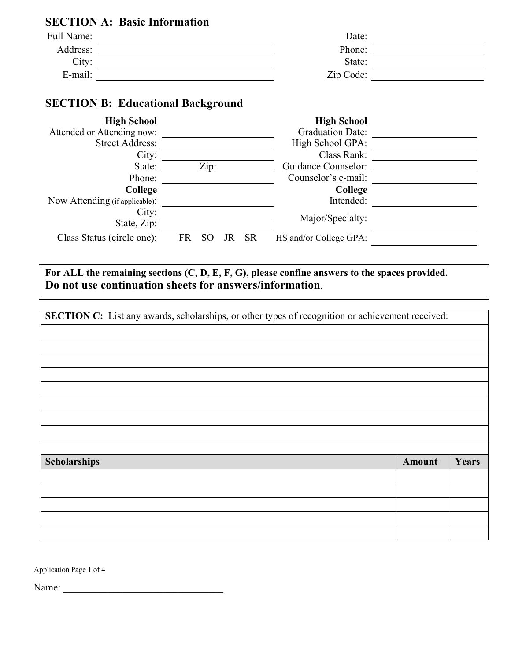| Full Name: | Date:     |  |
|------------|-----------|--|
| Address:   | Phone:    |  |
| City:      | State:    |  |
| E-mail:    | Zip Code: |  |

### **SECTION B: Educational Background**

| <b>High School</b>             |                       |                 | <b>High School</b>      |  |
|--------------------------------|-----------------------|-----------------|-------------------------|--|
| Attended or Attending now:     |                       |                 | <b>Graduation Date:</b> |  |
| <b>Street Address:</b>         |                       |                 | High School GPA:        |  |
| City:                          |                       |                 | Class Rank:             |  |
| State:                         | Zip:                  |                 | Guidance Counselor:     |  |
| Phone:                         |                       |                 | Counselor's e-mail:     |  |
| College                        |                       |                 | College                 |  |
| Now Attending (if applicable): |                       |                 | Intended:               |  |
| City:<br>State, Zip:           |                       |                 | Major/Specialty:        |  |
| Class Status (circle one):     | FR<br>SO <sub>1</sub> | <b>SR</b><br>JR | HS and/or College GPA:  |  |

For ALL the remaining sections (C, D, E, F, G), please confine answers to the spaces provided. **Do not use continuation sheets for answers/information**.

| <b>SECTION C:</b> List any awards, scholarships, or other types of recognition or achievement received: |  |  |  |
|---------------------------------------------------------------------------------------------------------|--|--|--|
|                                                                                                         |  |  |  |

| Scholarships | <b>Amount</b> | Years |
|--------------|---------------|-------|
|              |               |       |
|              |               |       |
|              |               |       |
|              |               |       |
|              |               |       |

Application Page 1 of 4

Name: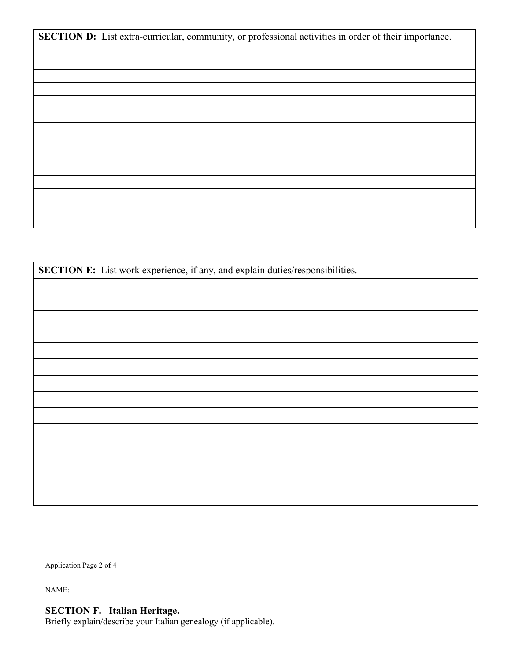| SECTION D: List extra-curricular, community, or professional activities in order of their importance. |
|-------------------------------------------------------------------------------------------------------|
|                                                                                                       |
|                                                                                                       |
|                                                                                                       |
|                                                                                                       |
|                                                                                                       |
|                                                                                                       |
|                                                                                                       |
|                                                                                                       |
|                                                                                                       |
|                                                                                                       |
|                                                                                                       |
|                                                                                                       |
|                                                                                                       |
|                                                                                                       |

| SECTION E: List work experience, if any, and explain duties/responsibilities. |  |  |  |
|-------------------------------------------------------------------------------|--|--|--|
|                                                                               |  |  |  |
|                                                                               |  |  |  |
|                                                                               |  |  |  |
|                                                                               |  |  |  |
|                                                                               |  |  |  |
|                                                                               |  |  |  |
|                                                                               |  |  |  |
|                                                                               |  |  |  |
|                                                                               |  |  |  |
|                                                                               |  |  |  |
|                                                                               |  |  |  |
|                                                                               |  |  |  |
|                                                                               |  |  |  |
|                                                                               |  |  |  |
|                                                                               |  |  |  |

Application Page 2 of 4

NAME: \_\_\_\_\_\_\_\_\_\_\_\_\_\_\_\_\_\_\_\_\_\_\_\_\_\_\_\_\_\_\_\_\_\_\_\_\_\_

### **SECTION F. Italian Heritage.**

Briefly explain/describe your Italian genealogy (if applicable).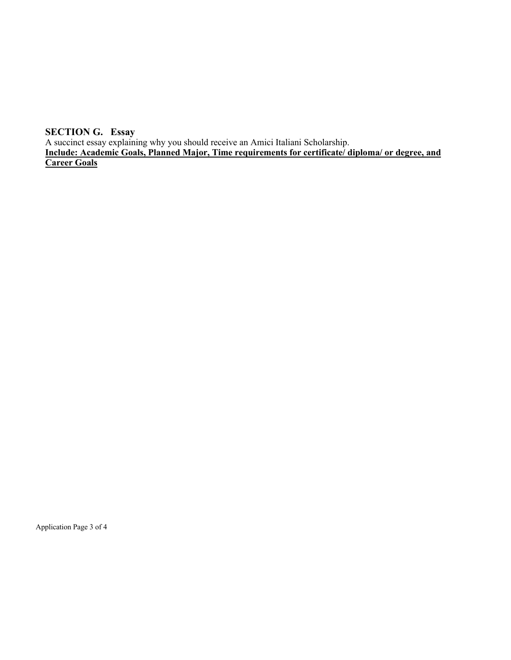**SECTION G. Essay**

A succinct essay explaining why you should receive an Amici Italiani Scholarship. **Include: Academic Goals, Planned Major, Time requirements for certificate/ diploma/ or degree, and Career Goals**

Application Page 3 of 4